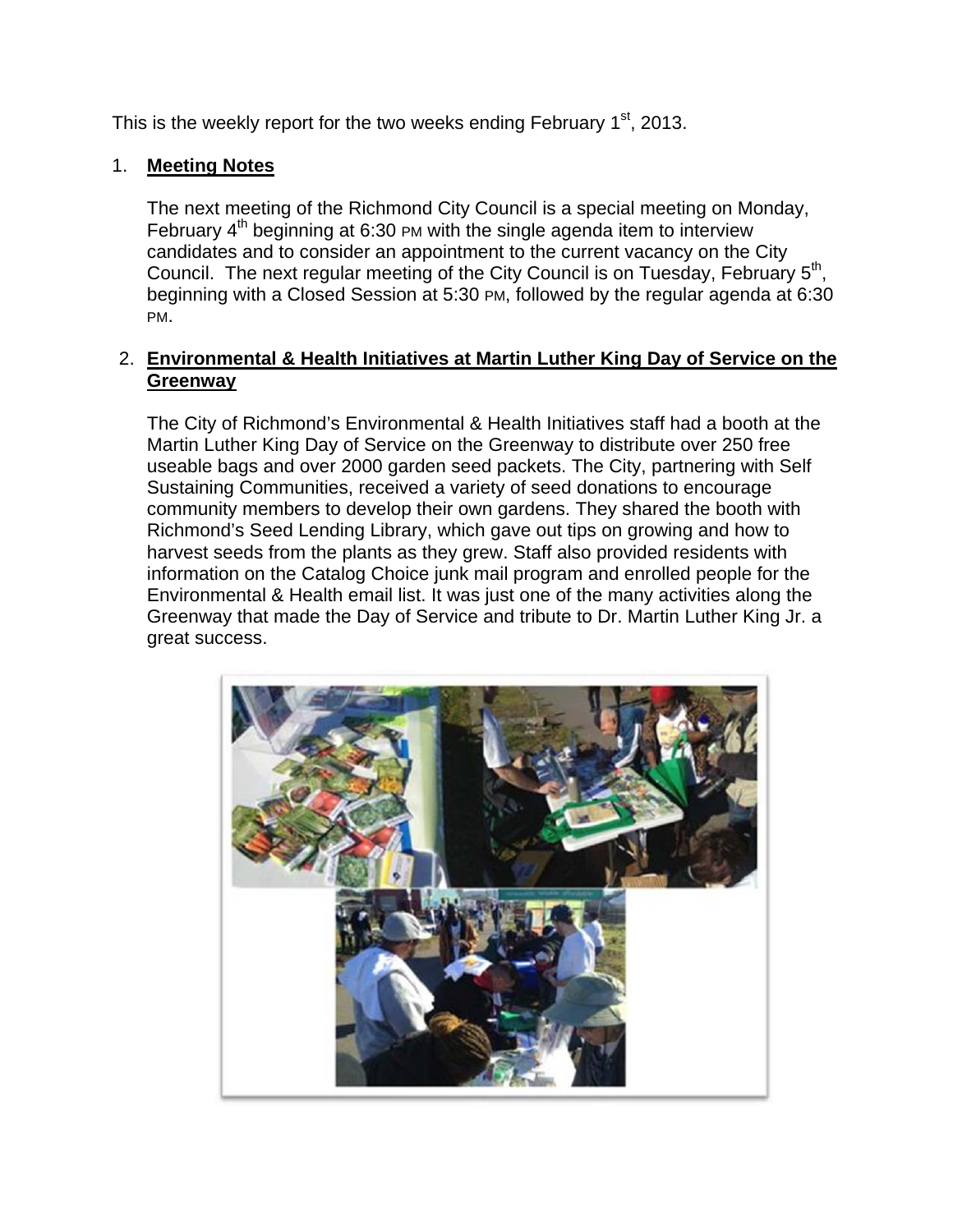This is the weekly report for the two weeks ending February  $1<sup>st</sup>$ , 2013.

# 1. **Meeting Notes**

The next meeting of the Richmond City Council is a special meeting on Monday, February 4<sup>th</sup> beginning at 6:30 PM with the single agenda item to interview candidates and to consider an appointment to the current vacancy on the City Council. The next regular meeting of the City Council is on Tuesday, February 5<sup>th</sup>, beginning with a Closed Session at 5:30 PM, followed by the regular agenda at 6:30 PM.

# 2. **Environmental & Health Initiatives at Martin Luther King Day of Service on the Greenway**

The City of Richmond's Environmental & Health Initiatives staff had a booth at the Martin Luther King Day of Service on the Greenway to distribute over 250 free useable bags and over 2000 garden seed packets. The City, partnering with Self Sustaining Communities, received a variety of seed donations to encourage community members to develop their own gardens. They shared the booth with Richmond's Seed Lending Library, which gave out tips on growing and how to harvest seeds from the plants as they grew. Staff also provided residents with information on the Catalog Choice junk mail program and enrolled people for the Environmental & Health email list. It was just one of the many activities along the Greenway that made the Day of Service and tribute to Dr. Martin Luther King Jr. a great success.

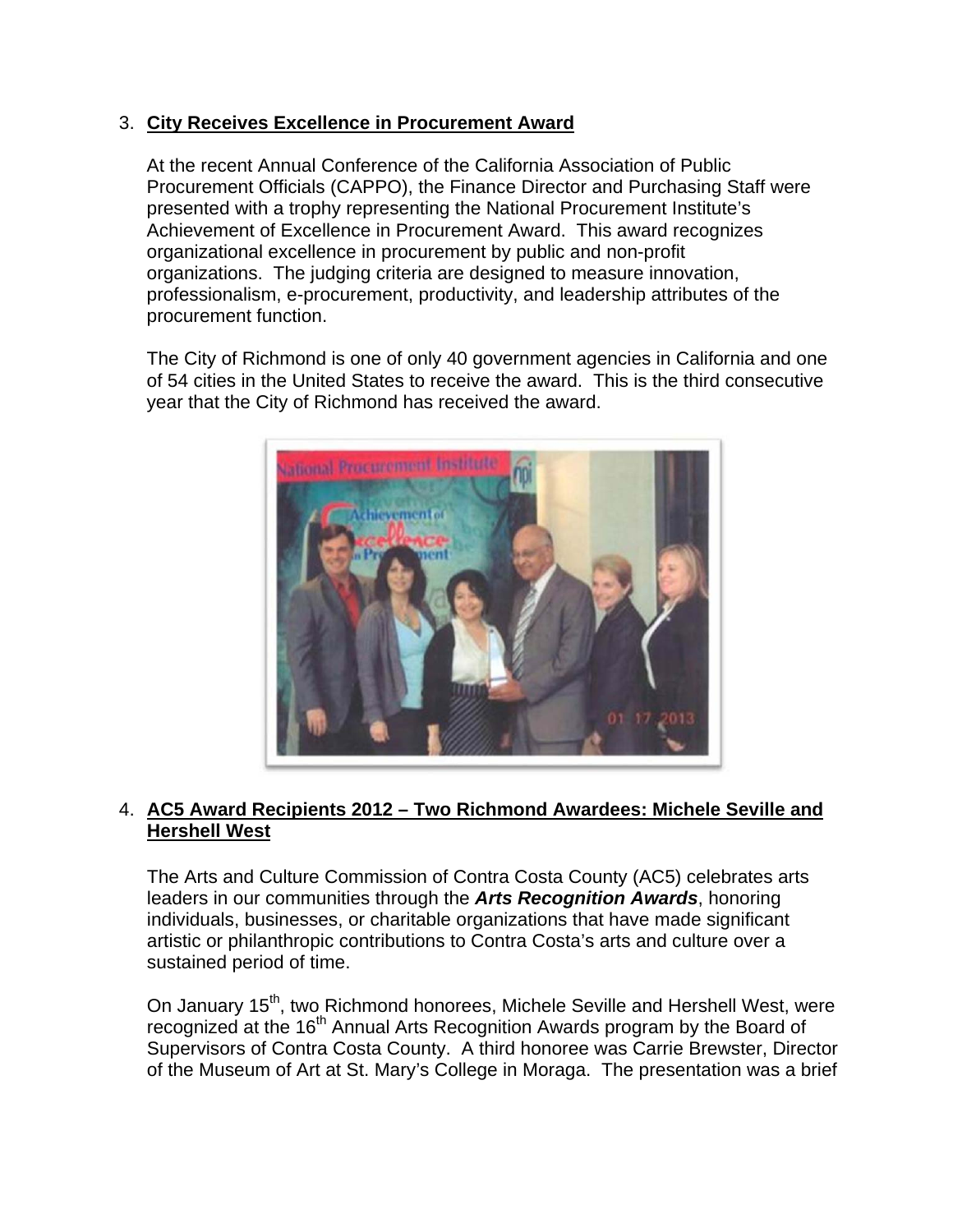# 3. **City Receives Excellence in Procurement Award**

At the recent Annual Conference of the California Association of Public Procurement Officials (CAPPO), the Finance Director and Purchasing Staff were presented with a trophy representing the National Procurement Institute's Achievement of Excellence in Procurement Award. This award recognizes organizational excellence in procurement by public and non-profit organizations. The judging criteria are designed to measure innovation, professionalism, e-procurement, productivity, and leadership attributes of the procurement function.

The City of Richmond is one of only 40 government agencies in California and one of 54 cities in the United States to receive the award. This is the third consecutive year that the City of Richmond has received the award.



# 4. **AC5 Award Recipients 2012 – Two Richmond Awardees: Michele Seville and Hershell West**

The Arts and Culture Commission of Contra Costa County (AC5) celebrates arts leaders in our communities through the *Arts Recognition Awards*, honoring individuals, businesses, or charitable organizations that have made significant artistic or philanthropic contributions to Contra Costa's arts and culture over a sustained period of time.

On January 15<sup>th</sup>, two Richmond honorees, Michele Seville and Hershell West, were recognized at the 16<sup>th</sup> Annual Arts Recognition Awards program by the Board of Supervisors of Contra Costa County. A third honoree was Carrie Brewster, Director of the Museum of Art at St. Mary's College in Moraga. The presentation was a brief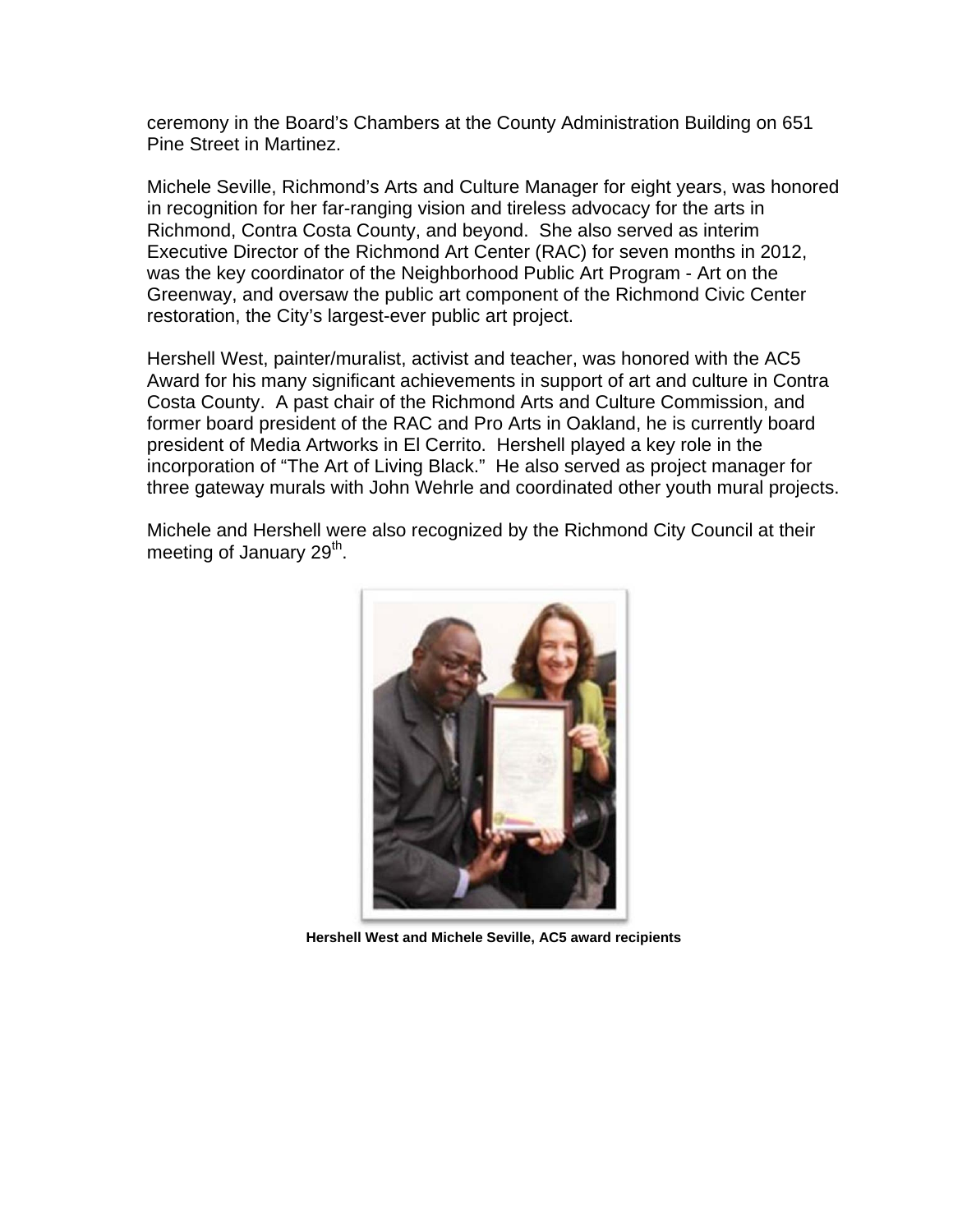ceremony in the Board's Chambers at the County Administration Building on 651 Pine Street in Martinez.

Michele Seville, Richmond's Arts and Culture Manager for eight years, was honored in recognition for her far-ranging vision and tireless advocacy for the arts in Richmond, Contra Costa County, and beyond. She also served as interim Executive Director of the Richmond Art Center (RAC) for seven months in 2012, was the key coordinator of the Neighborhood Public Art Program - Art on the Greenway, and oversaw the public art component of the Richmond Civic Center restoration, the City's largest-ever public art project.

Hershell West, painter/muralist, activist and teacher, was honored with the AC5 Award for his many significant achievements in support of art and culture in Contra Costa County. A past chair of the Richmond Arts and Culture Commission, and former board president of the RAC and Pro Arts in Oakland, he is currently board president of Media Artworks in El Cerrito. Hershell played a key role in the incorporation of "The Art of Living Black." He also served as project manager for three gateway murals with John Wehrle and coordinated other youth mural projects.

Michele and Hershell were also recognized by the Richmond City Council at their meeting of January  $29<sup>th</sup>$ .



**Hershell West and Michele Seville, AC5 award recipients**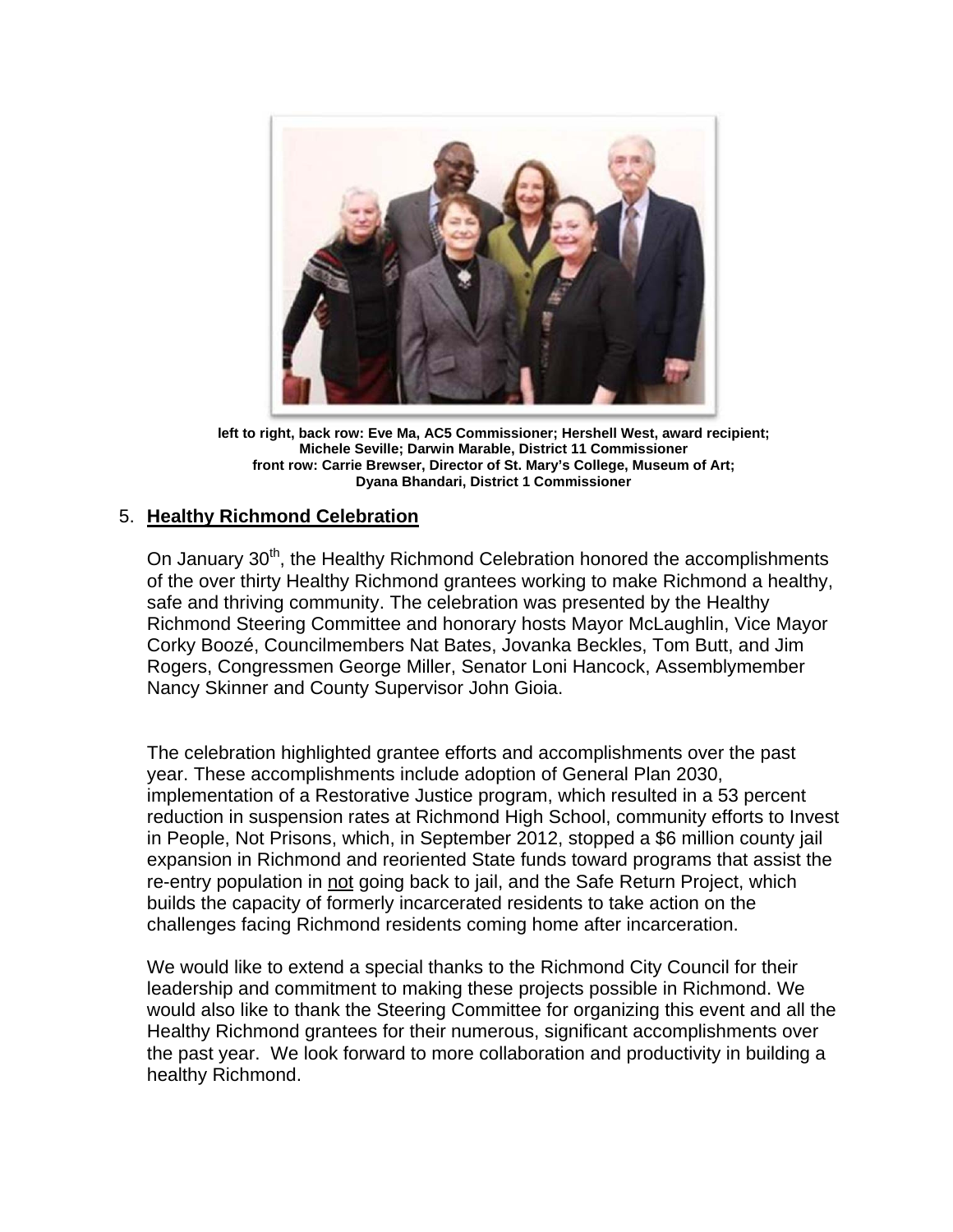

**left to right, back row: Eve Ma, AC5 Commissioner; Hershell West, award recipient; Michele Seville; Darwin Marable, District 11 Commissioner front row: Carrie Brewser, Director of St. Mary's College, Museum of Art; Dyana Bhandari, District 1 Commissioner** 

# 5. **Healthy Richmond Celebration**

On January 30<sup>th</sup>, the Healthy Richmond Celebration honored the accomplishments of the over thirty Healthy Richmond grantees working to make Richmond a healthy, safe and thriving community. The celebration was presented by the Healthy Richmond Steering Committee and honorary hosts Mayor McLaughlin, Vice Mayor Corky Boozé, Councilmembers Nat Bates, Jovanka Beckles, Tom Butt, and Jim Rogers, Congressmen George Miller, Senator Loni Hancock, Assemblymember Nancy Skinner and County Supervisor John Gioia.

The celebration highlighted grantee efforts and accomplishments over the past year. These accomplishments include adoption of General Plan 2030, implementation of a Restorative Justice program, which resulted in a 53 percent reduction in suspension rates at Richmond High School, community efforts to Invest in People, Not Prisons, which, in September 2012, stopped a \$6 million county jail expansion in Richmond and reoriented State funds toward programs that assist the re-entry population in not going back to jail, and the Safe Return Project, which builds the capacity of formerly incarcerated residents to take action on the challenges facing Richmond residents coming home after incarceration.

We would like to extend a special thanks to the Richmond City Council for their leadership and commitment to making these projects possible in Richmond. We would also like to thank the Steering Committee for organizing this event and all the Healthy Richmond grantees for their numerous, significant accomplishments over the past year. We look forward to more collaboration and productivity in building a healthy Richmond.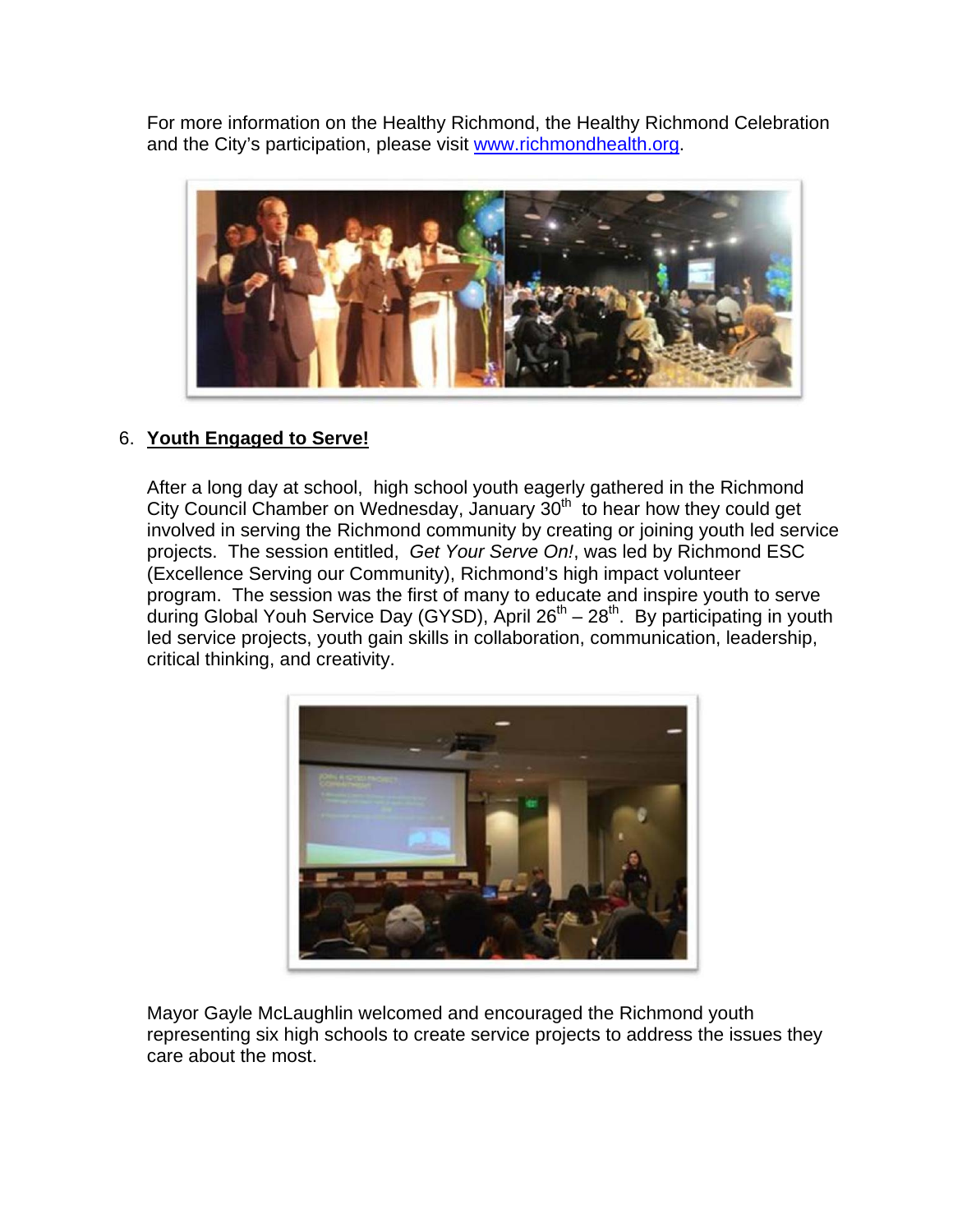For more information on the Healthy Richmond, the Healthy Richmond Celebration and the City's participation, please visit www.richmondhealth.org.



# 6. **Youth Engaged to Serve!**

After a long day at school, high school youth eagerly gathered in the Richmond City Council Chamber on Wednesday, January 30<sup>th</sup> to hear how they could get involved in serving the Richmond community by creating or joining youth led service projects. The session entitled, *Get Your Serve On!*, was led by Richmond ESC (Excellence Serving our Community), Richmond's high impact volunteer program. The session was the first of many to educate and inspire youth to serve during Global Youh Service Day (GYSD), April  $26^{th} - 28^{th}$ . By participating in youth led service projects, youth gain skills in collaboration, communication, leadership, critical thinking, and creativity.



Mayor Gayle McLaughlin welcomed and encouraged the Richmond youth representing six high schools to create service projects to address the issues they care about the most.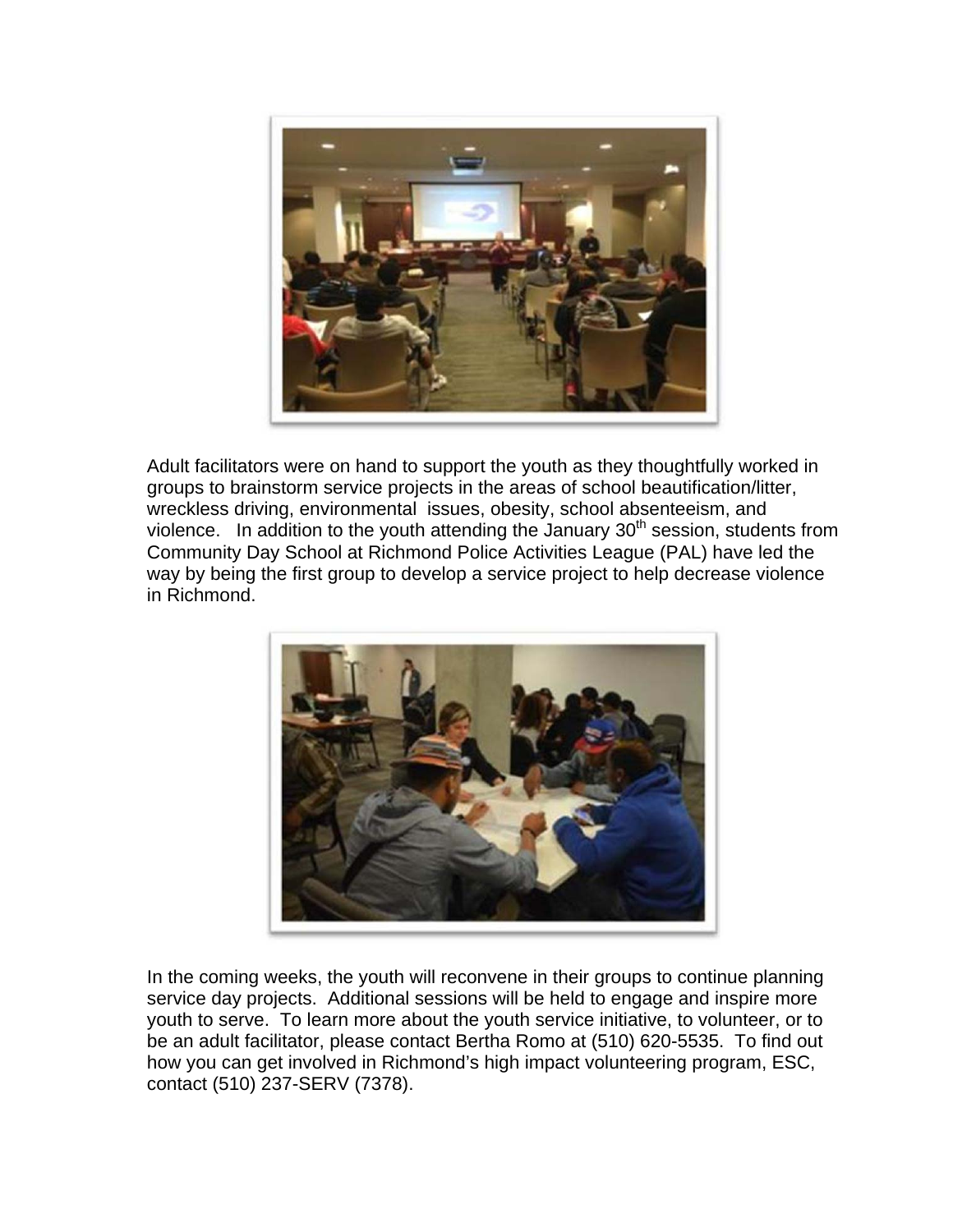

Adult facilitators were on hand to support the youth as they thoughtfully worked in groups to brainstorm service projects in the areas of school beautification/litter, wreckless driving, environmental issues, obesity, school absenteeism, and violence. In addition to the youth attending the January  $30<sup>th</sup>$  session, students from Community Day School at Richmond Police Activities League (PAL) have led the way by being the first group to develop a service project to help decrease violence in Richmond.



In the coming weeks, the youth will reconvene in their groups to continue planning service day projects. Additional sessions will be held to engage and inspire more youth to serve. To learn more about the youth service initiative, to volunteer, or to be an adult facilitator, please contact Bertha Romo at (510) 620-5535. To find out how you can get involved in Richmond's high impact volunteering program, ESC, contact (510) 237-SERV (7378).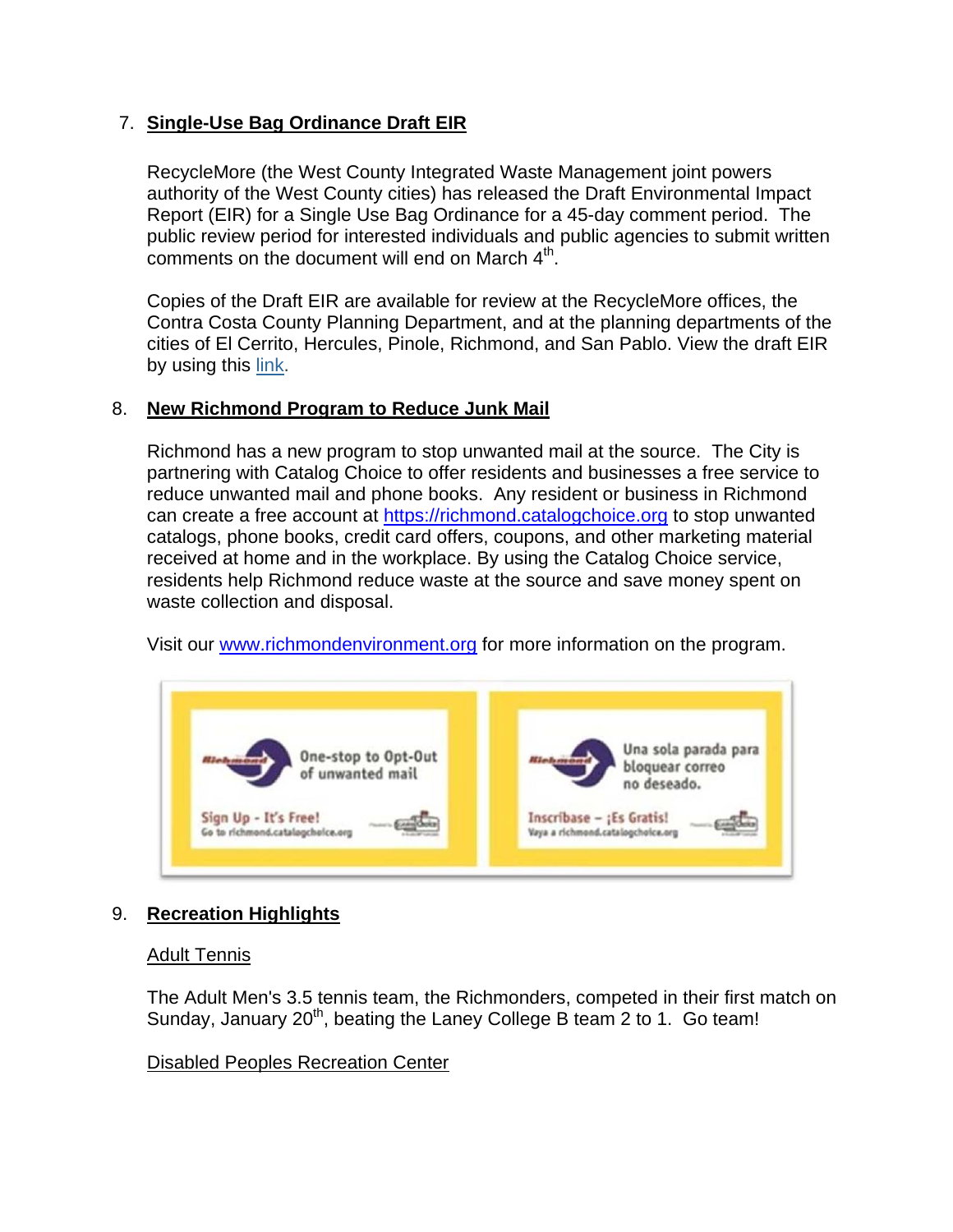# 7. **Single-Use Bag Ordinance Draft EIR**

RecycleMore (the West County Integrated Waste Management joint powers authority of the West County cities) has released the Draft Environmental Impact Report (EIR) for a Single Use Bag Ordinance for a 45-day comment period. The public review period for interested individuals and public agencies to submit written comments on the document will end on March  $4<sup>th</sup>$ .

Copies of the Draft EIR are available for review at the RecycleMore offices, the Contra Costa County Planning Department, and at the planning departments of the cities of El Cerrito, Hercules, Pinole, Richmond, and San Pablo. View the draft EIR by using this link.

## 8. **New Richmond Program to Reduce Junk Mail**

Richmond has a new program to stop unwanted mail at the source. The City is partnering with Catalog Choice to offer residents and businesses a free service to reduce unwanted mail and phone books. Any resident or business in Richmond can create a free account at https://richmond.catalogchoice.org to stop unwanted catalogs, phone books, credit card offers, coupons, and other marketing material received at home and in the workplace. By using the Catalog Choice service, residents help Richmond reduce waste at the source and save money spent on waste collection and disposal.

Visit our www.richmondenvironment.org for more information on the program.



# 9. **Recreation Highlights**

## Adult Tennis

The Adult Men's 3.5 tennis team, the Richmonders, competed in their first match on Sunday, January  $20<sup>th</sup>$ , beating the Laney College B team 2 to 1. Go team!

Disabled Peoples Recreation Center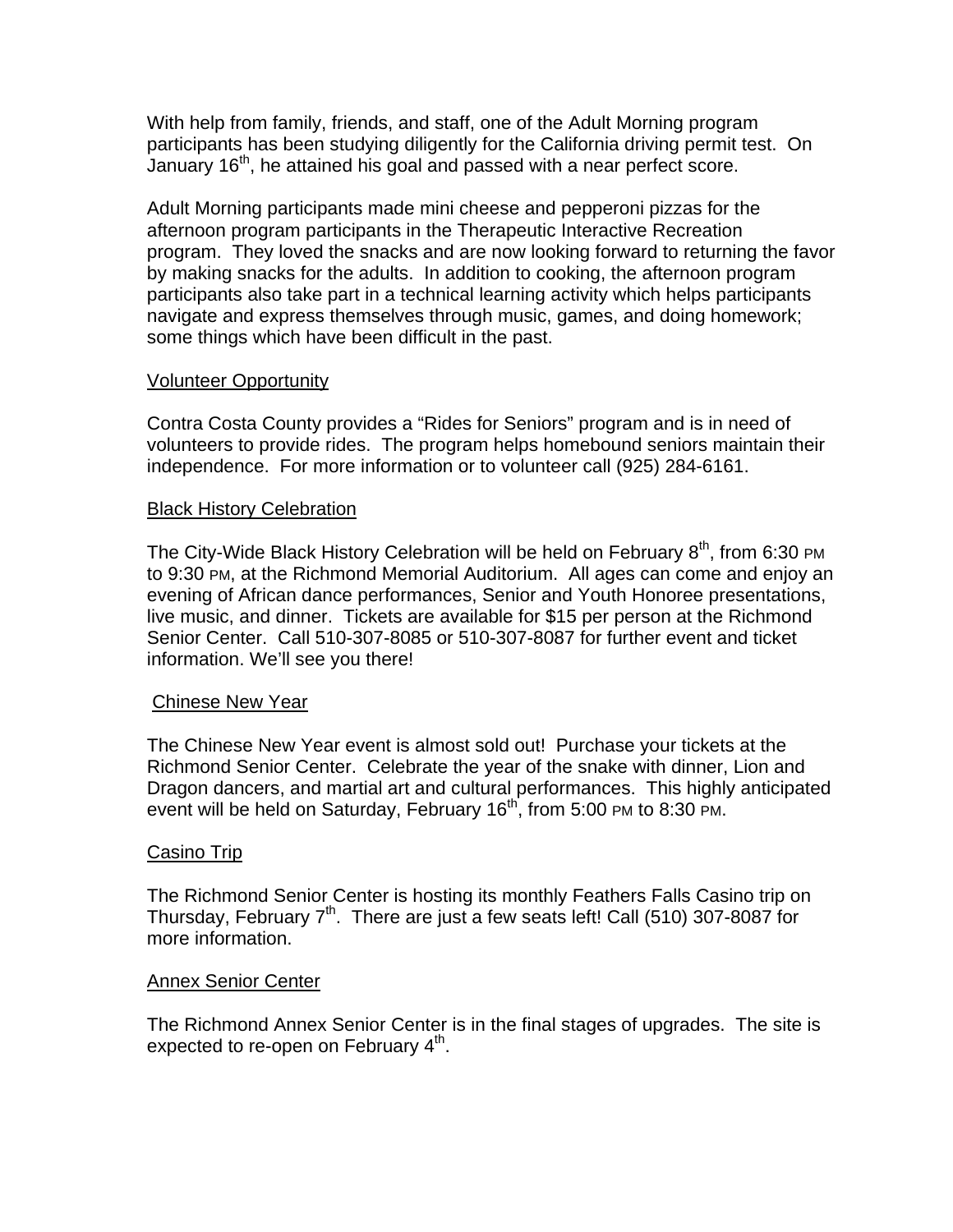With help from family, friends, and staff, one of the Adult Morning program participants has been studying diligently for the California driving permit test. On January 16<sup>th</sup>, he attained his goal and passed with a near perfect score.

Adult Morning participants made mini cheese and pepperoni pizzas for the afternoon program participants in the Therapeutic Interactive Recreation program. They loved the snacks and are now looking forward to returning the favor by making snacks for the adults. In addition to cooking, the afternoon program participants also take part in a technical learning activity which helps participants navigate and express themselves through music, games, and doing homework; some things which have been difficult in the past.

## Volunteer Opportunity

Contra Costa County provides a "Rides for Seniors" program and is in need of volunteers to provide rides. The program helps homebound seniors maintain their independence. For more information or to volunteer call (925) 284-6161.

#### Black History Celebration

The City-Wide Black History Celebration will be held on February  $8<sup>th</sup>$ , from 6:30 PM to 9:30 PM, at the Richmond Memorial Auditorium. All ages can come and enjoy an evening of African dance performances, Senior and Youth Honoree presentations, live music, and dinner. Tickets are available for \$15 per person at the Richmond Senior Center. Call 510-307-8085 or 510-307-8087 for further event and ticket information. We'll see you there!

#### Chinese New Year

The Chinese New Year event is almost sold out! Purchase your tickets at the Richmond Senior Center. Celebrate the year of the snake with dinner, Lion and Dragon dancers, and martial art and cultural performances. This highly anticipated event will be held on Saturday, February 16<sup>th</sup>, from 5:00 PM to 8:30 PM.

#### Casino Trip

The Richmond Senior Center is hosting its monthly Feathers Falls Casino trip on Thursday, February 7<sup>th</sup>. There are just a few seats left! Call (510) 307-8087 for more information.

#### **Annex Senior Center**

The Richmond Annex Senior Center is in the final stages of upgrades. The site is expected to re-open on February  $4<sup>th</sup>$ .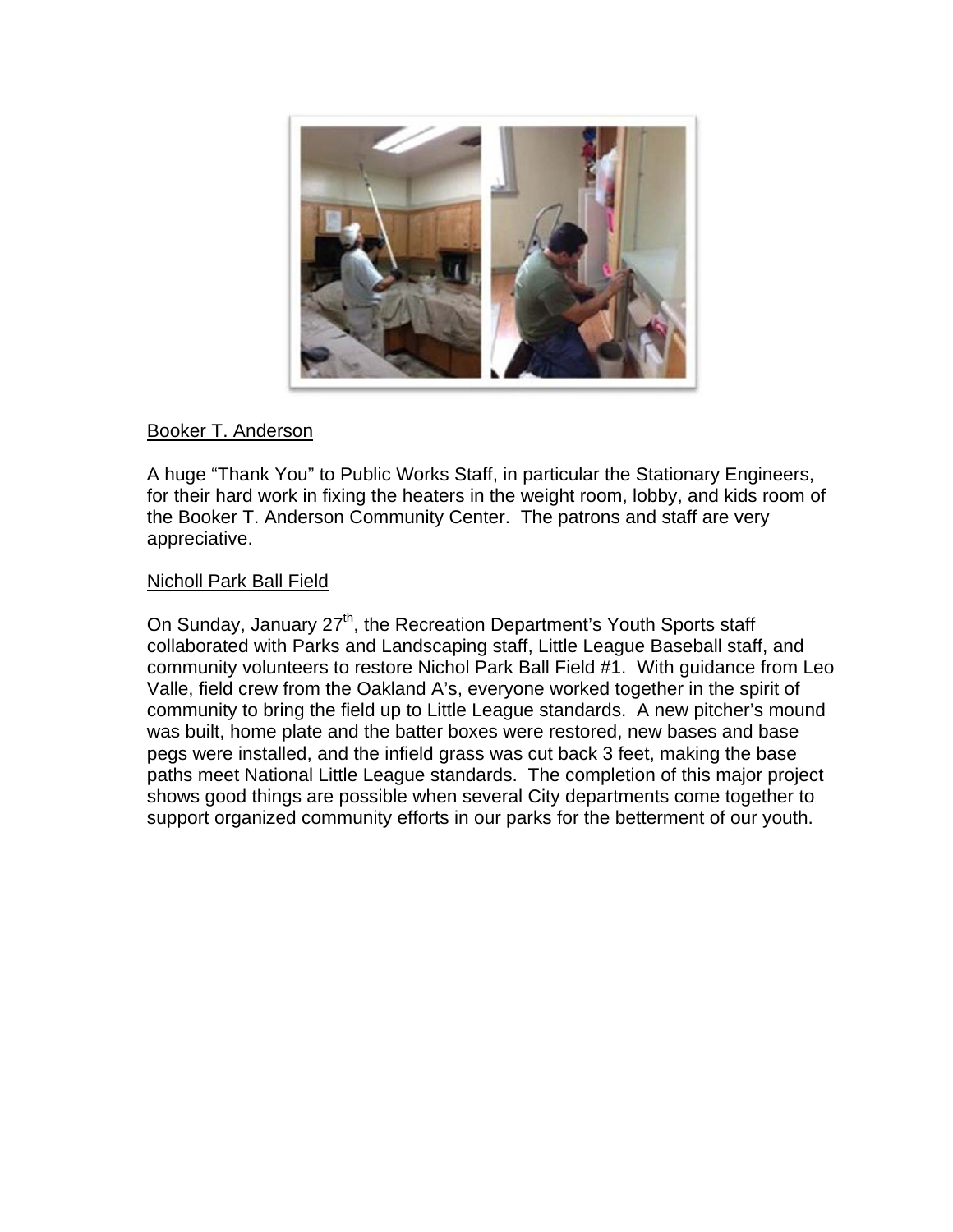

# Booker T. Anderson

A huge "Thank You" to Public Works Staff, in particular the Stationary Engineers, for their hard work in fixing the heaters in the weight room, lobby, and kids room of the Booker T. Anderson Community Center. The patrons and staff are very appreciative.

## Nicholl Park Ball Field

On Sunday, January 27<sup>th</sup>, the Recreation Department's Youth Sports staff collaborated with Parks and Landscaping staff, Little League Baseball staff, and community volunteers to restore Nichol Park Ball Field #1. With guidance from Leo Valle, field crew from the Oakland A's, everyone worked together in the spirit of community to bring the field up to Little League standards. A new pitcher's mound was built, home plate and the batter boxes were restored, new bases and base pegs were installed, and the infield grass was cut back 3 feet, making the base paths meet National Little League standards. The completion of this major project shows good things are possible when several City departments come together to support organized community efforts in our parks for the betterment of our youth.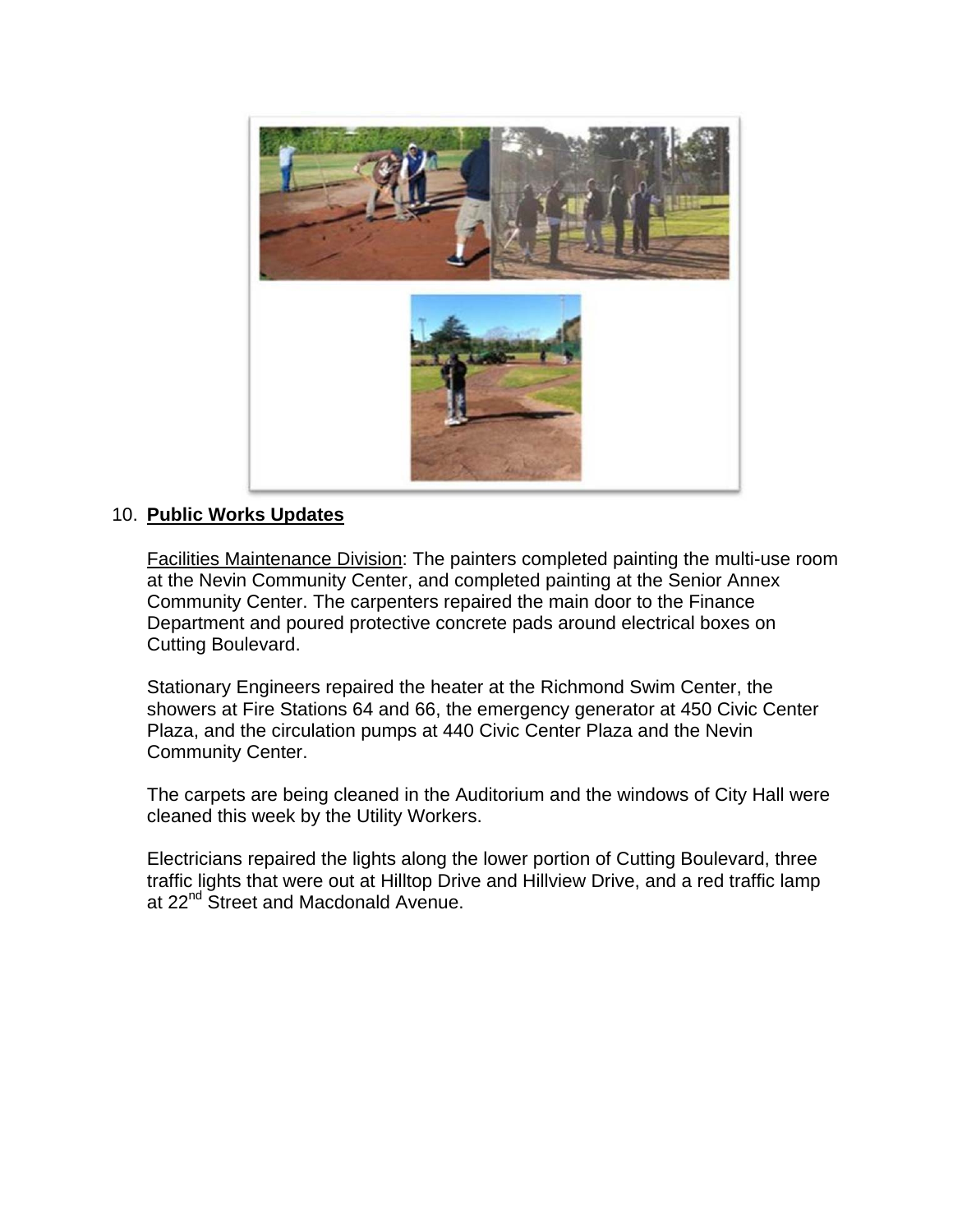

# 10. **Public Works Updates**

Facilities Maintenance Division: The painters completed painting the multi-use room at the Nevin Community Center, and completed painting at the Senior Annex Community Center. The carpenters repaired the main door to the Finance Department and poured protective concrete pads around electrical boxes on Cutting Boulevard.

Stationary Engineers repaired the heater at the Richmond Swim Center, the showers at Fire Stations 64 and 66, the emergency generator at 450 Civic Center Plaza, and the circulation pumps at 440 Civic Center Plaza and the Nevin Community Center.

The carpets are being cleaned in the Auditorium and the windows of City Hall were cleaned this week by the Utility Workers.

Electricians repaired the lights along the lower portion of Cutting Boulevard, three traffic lights that were out at Hilltop Drive and Hillview Drive, and a red traffic lamp at 22<sup>nd</sup> Street and Macdonald Avenue.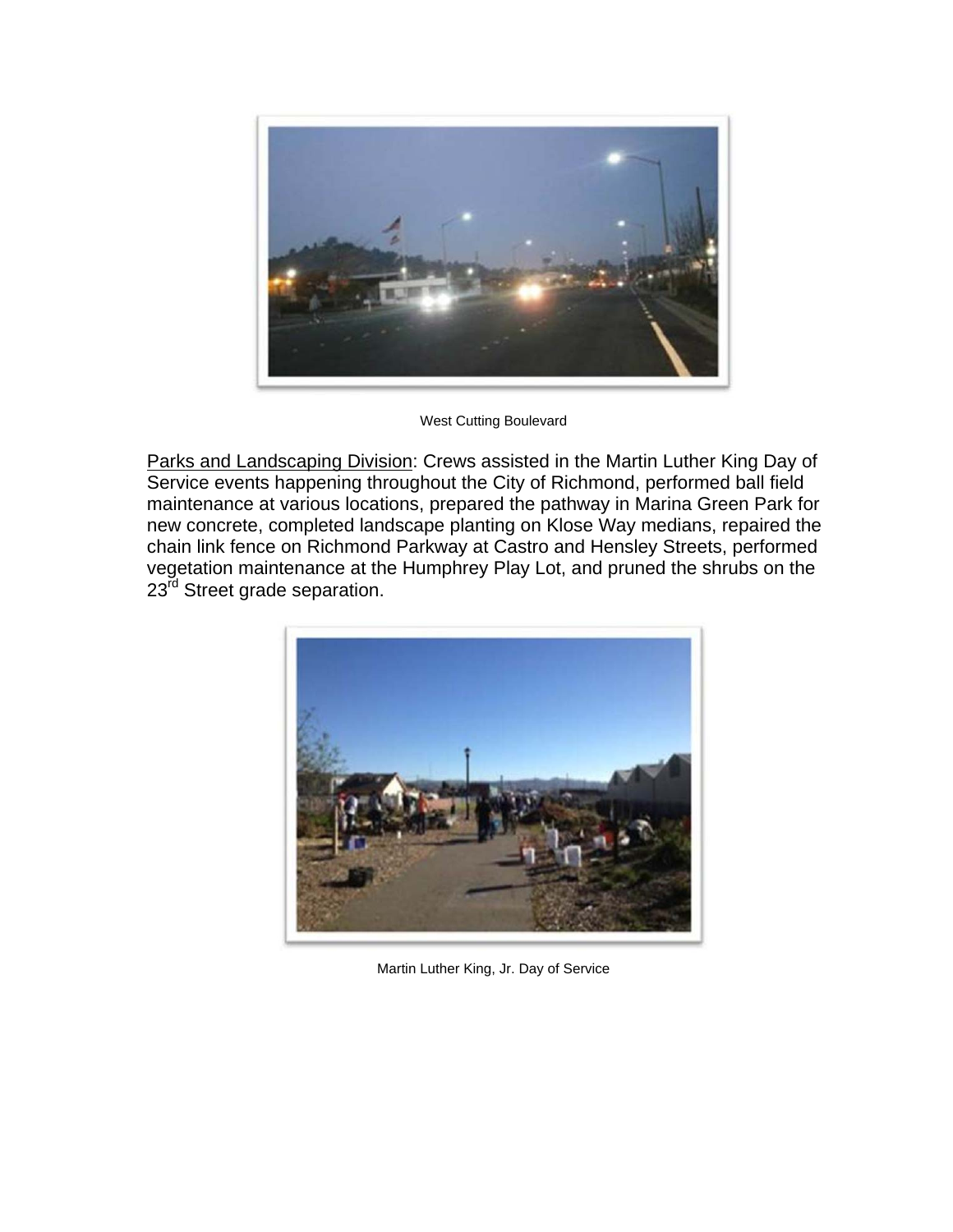

West Cutting Boulevard

Parks and Landscaping Division: Crews assisted in the Martin Luther King Day of Service events happening throughout the City of Richmond, performed ball field maintenance at various locations, prepared the pathway in Marina Green Park for new concrete, completed landscape planting on Klose Way medians, repaired the chain link fence on Richmond Parkway at Castro and Hensley Streets, performed vegetation maintenance at the Humphrey Play Lot, and pruned the shrubs on the 23<sup>rd</sup> Street grade separation.



Martin Luther King, Jr. Day of Service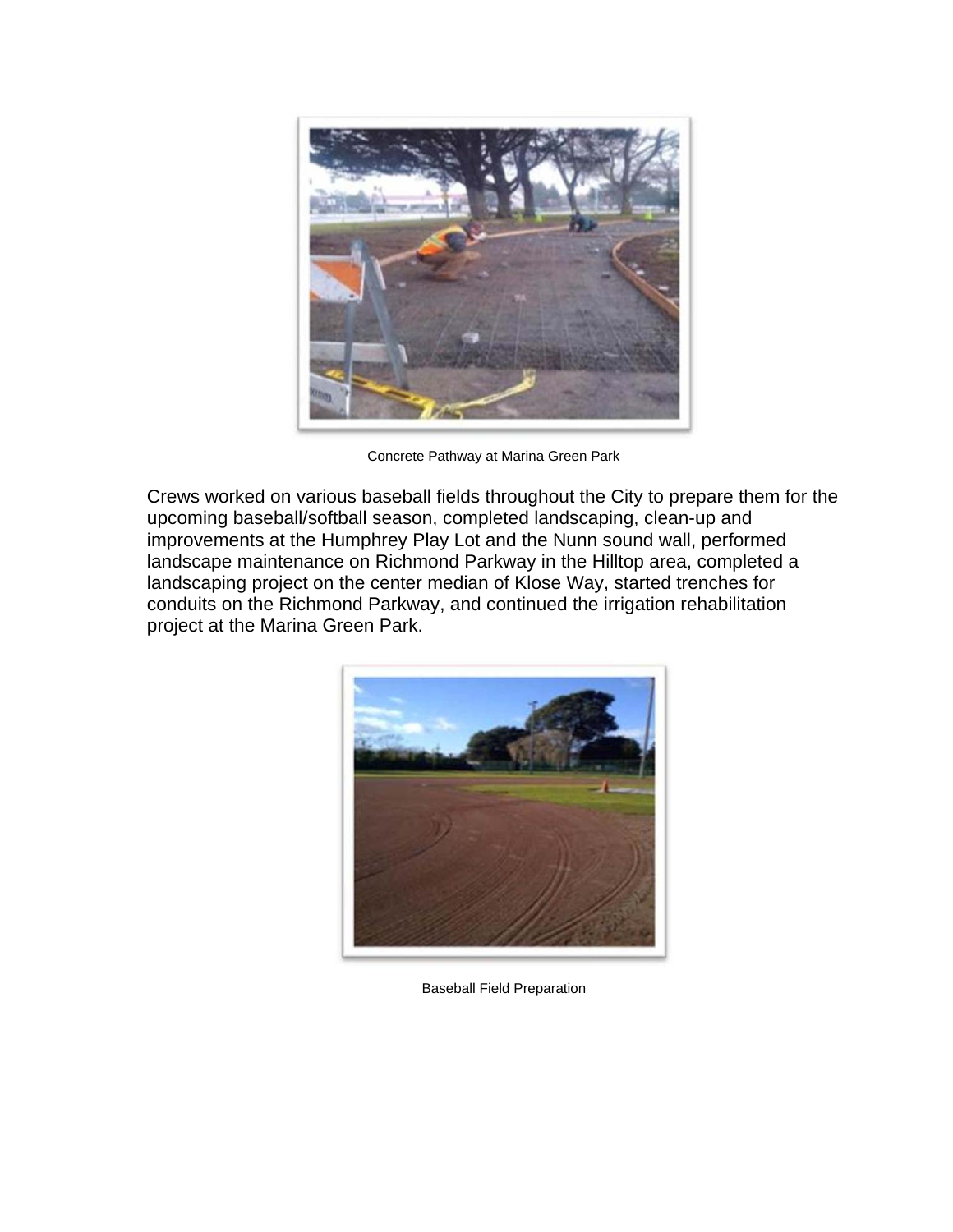

Concrete Pathway at Marina Green Park

Crews worked on various baseball fields throughout the City to prepare them for the upcoming baseball/softball season, completed landscaping, clean-up and improvements at the Humphrey Play Lot and the Nunn sound wall, performed landscape maintenance on Richmond Parkway in the Hilltop area, completed a landscaping project on the center median of Klose Way, started trenches for conduits on the Richmond Parkway, and continued the irrigation rehabilitation project at the Marina Green Park.



Baseball Field Preparation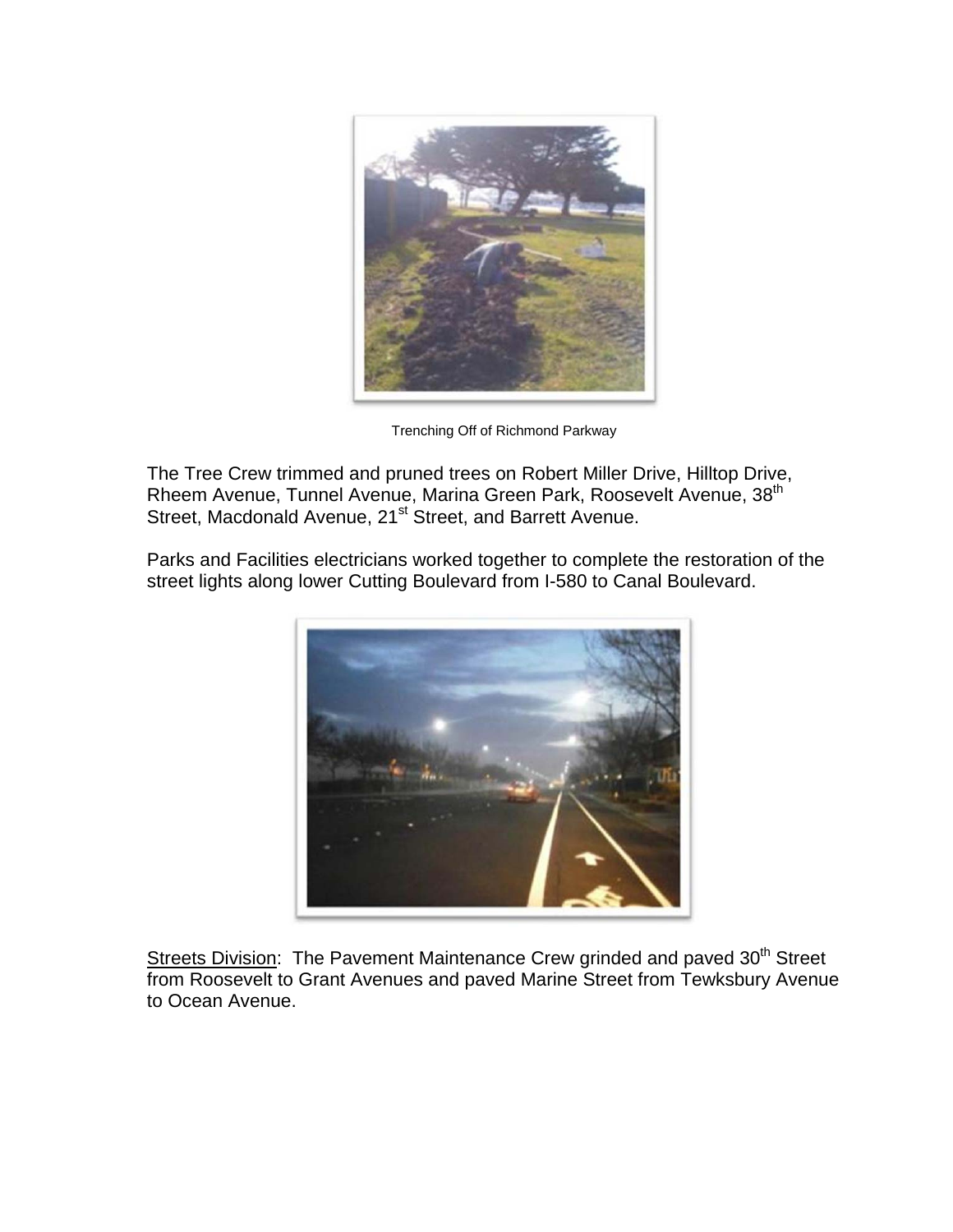

Trenching Off of Richmond Parkway

The Tree Crew trimmed and pruned trees on Robert Miller Drive, Hilltop Drive, Rheem Avenue, Tunnel Avenue, Marina Green Park, Roosevelt Avenue, 38<sup>th</sup> Street, Macdonald Avenue, 21<sup>st</sup> Street, and Barrett Avenue.

Parks and Facilities electricians worked together to complete the restoration of the street lights along lower Cutting Boulevard from I-580 to Canal Boulevard.



Streets Division: The Pavement Maintenance Crew grinded and paved 30<sup>th</sup> Street from Roosevelt to Grant Avenues and paved Marine Street from Tewksbury Avenue to Ocean Avenue.